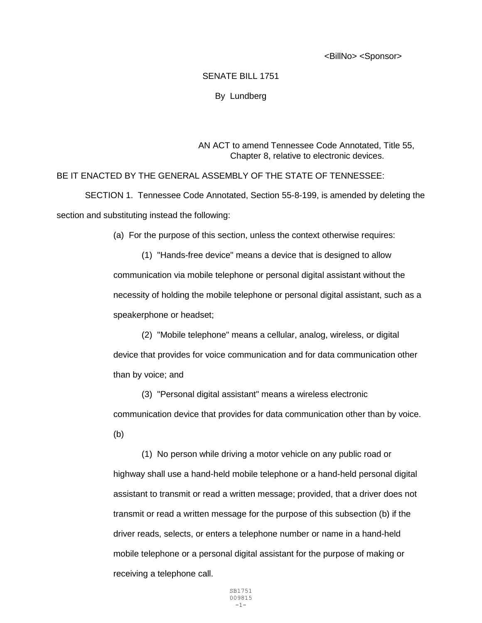<BillNo> <Sponsor>

## SENATE BILL 1751

By Lundberg

AN ACT to amend Tennessee Code Annotated, Title 55, Chapter 8, relative to electronic devices.

BE IT ENACTED BY THE GENERAL ASSEMBLY OF THE STATE OF TENNESSEE:

SECTION 1. Tennessee Code Annotated, Section 55-8-199, is amended by deleting the section and substituting instead the following:

(a) For the purpose of this section, unless the context otherwise requires:

(1) "Hands-free device" means a device that is designed to allow communication via mobile telephone or personal digital assistant without the necessity of holding the mobile telephone or personal digital assistant, such as a speakerphone or headset;

(2) "Mobile telephone" means a cellular, analog, wireless, or digital device that provides for voice communication and for data communication other than by voice; and

(3) "Personal digital assistant" means a wireless electronic communication device that provides for data communication other than by voice. (b)

(1) No person while driving a motor vehicle on any public road or highway shall use a hand-held mobile telephone or a hand-held personal digital assistant to transmit or read a written message; provided, that a driver does not transmit or read a written message for the purpose of this subsection (b) if the driver reads, selects, or enters a telephone number or name in a hand-held mobile telephone or a personal digital assistant for the purpose of making or receiving a telephone call.

> SB1751 009815 -1-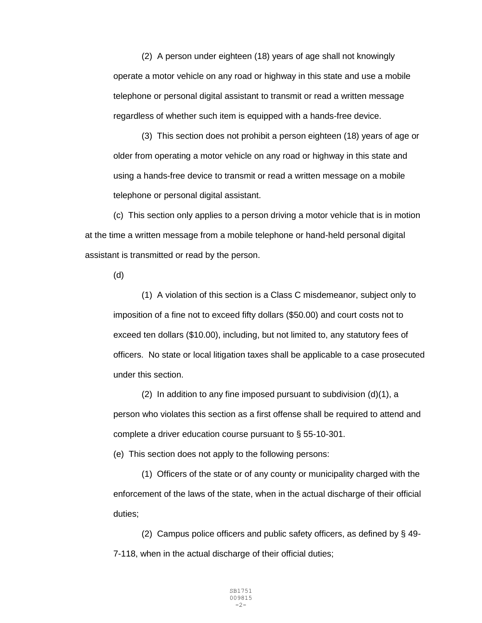(2) A person under eighteen (18) years of age shall not knowingly operate a motor vehicle on any road or highway in this state and use a mobile telephone or personal digital assistant to transmit or read a written message regardless of whether such item is equipped with a hands-free device.

(3) This section does not prohibit a person eighteen (18) years of age or older from operating a motor vehicle on any road or highway in this state and using a hands-free device to transmit or read a written message on a mobile telephone or personal digital assistant.

(c) This section only applies to a person driving a motor vehicle that is in motion at the time a written message from a mobile telephone or hand-held personal digital assistant is transmitted or read by the person.

(d)

(1) A violation of this section is a Class C misdemeanor, subject only to imposition of a fine not to exceed fifty dollars (\$50.00) and court costs not to exceed ten dollars (\$10.00), including, but not limited to, any statutory fees of officers. No state or local litigation taxes shall be applicable to a case prosecuted under this section.

(2) In addition to any fine imposed pursuant to subdivision (d)(1), a person who violates this section as a first offense shall be required to attend and complete a driver education course pursuant to § 55-10-301.

(e) This section does not apply to the following persons:

(1) Officers of the state or of any county or municipality charged with the enforcement of the laws of the state, when in the actual discharge of their official duties;

(2) Campus police officers and public safety officers, as defined by § 49- 7-118, when in the actual discharge of their official duties;

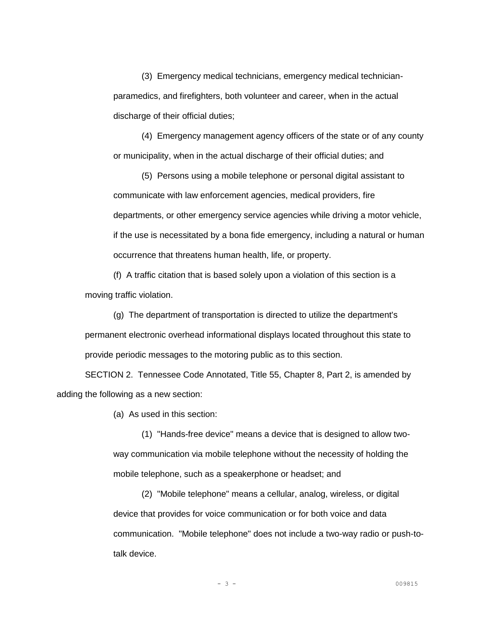(3) Emergency medical technicians, emergency medical technicianparamedics, and firefighters, both volunteer and career, when in the actual discharge of their official duties;

(4) Emergency management agency officers of the state or of any county or municipality, when in the actual discharge of their official duties; and

(5) Persons using a mobile telephone or personal digital assistant to communicate with law enforcement agencies, medical providers, fire departments, or other emergency service agencies while driving a motor vehicle, if the use is necessitated by a bona fide emergency, including a natural or human occurrence that threatens human health, life, or property.

(f) A traffic citation that is based solely upon a violation of this section is a moving traffic violation.

(g) The department of transportation is directed to utilize the department's permanent electronic overhead informational displays located throughout this state to provide periodic messages to the motoring public as to this section.

SECTION 2. Tennessee Code Annotated, Title 55, Chapter 8, Part 2, is amended by adding the following as a new section:

(a) As used in this section:

(1) "Hands-free device" means a device that is designed to allow twoway communication via mobile telephone without the necessity of holding the mobile telephone, such as a speakerphone or headset; and

(2) "Mobile telephone" means a cellular, analog, wireless, or digital device that provides for voice communication or for both voice and data communication. "Mobile telephone" does not include a two-way radio or push-totalk device.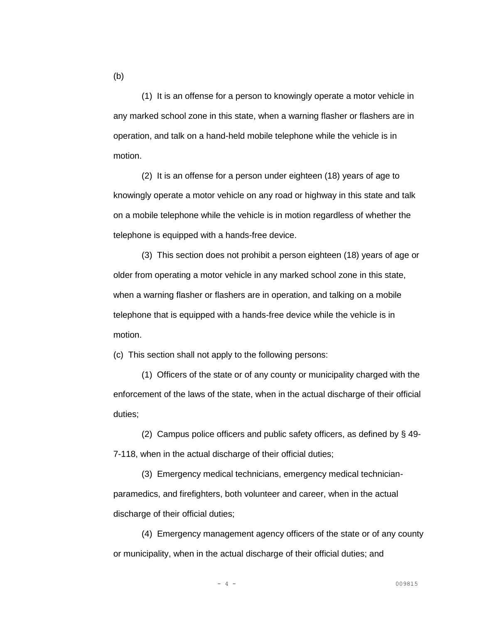(1) It is an offense for a person to knowingly operate a motor vehicle in any marked school zone in this state, when a warning flasher or flashers are in operation, and talk on a hand-held mobile telephone while the vehicle is in motion.

(2) It is an offense for a person under eighteen (18) years of age to knowingly operate a motor vehicle on any road or highway in this state and talk on a mobile telephone while the vehicle is in motion regardless of whether the telephone is equipped with a hands-free device.

(3) This section does not prohibit a person eighteen (18) years of age or older from operating a motor vehicle in any marked school zone in this state, when a warning flasher or flashers are in operation, and talking on a mobile telephone that is equipped with a hands-free device while the vehicle is in motion.

(c) This section shall not apply to the following persons:

(1) Officers of the state or of any county or municipality charged with the enforcement of the laws of the state, when in the actual discharge of their official duties;

(2) Campus police officers and public safety officers, as defined by § 49- 7-118, when in the actual discharge of their official duties;

(3) Emergency medical technicians, emergency medical technicianparamedics, and firefighters, both volunteer and career, when in the actual discharge of their official duties;

(4) Emergency management agency officers of the state or of any county or municipality, when in the actual discharge of their official duties; and

(b)